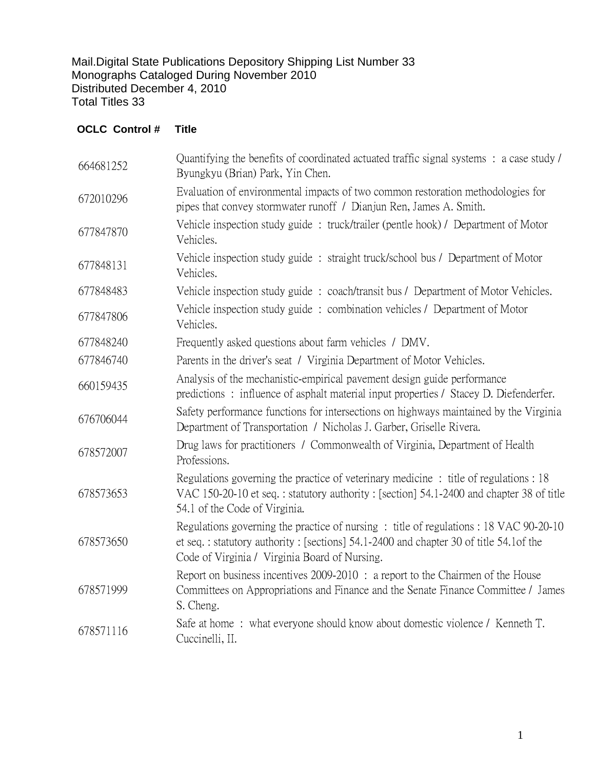Mail.Digital State Publications Depository Shipping List Number 33 Monographs Cataloged During November 2010 Distributed December 4, 2010 Total Titles 33

## **OCLC Control # Title**

| 664681252 | Quantifying the benefits of coordinated actuated traffic signal systems : a case study /<br>Byungkyu (Brian) Park, Yin Chen.                                                                                                      |
|-----------|-----------------------------------------------------------------------------------------------------------------------------------------------------------------------------------------------------------------------------------|
| 672010296 | Evaluation of environmental impacts of two common restoration methodologies for<br>pipes that convey stormwater runoff / Dianjun Ren, James A. Smith.                                                                             |
| 677847870 | Vehicle inspection study guide: truck/trailer (pentle hook) / Department of Motor<br>Vehicles.                                                                                                                                    |
| 677848131 | Vehicle inspection study guide : straight truck/school bus / Department of Motor<br>Vehicles.                                                                                                                                     |
| 677848483 | Vehicle inspection study guide : coach/transit bus / Department of Motor Vehicles.                                                                                                                                                |
| 677847806 | Vehicle inspection study guide: combination vehicles / Department of Motor<br>Vehicles.                                                                                                                                           |
| 677848240 | Frequently asked questions about farm vehicles / DMV.                                                                                                                                                                             |
| 677846740 | Parents in the driver's seat / Virginia Department of Motor Vehicles.                                                                                                                                                             |
| 660159435 | Analysis of the mechanistic-empirical pavement design guide performance<br>predictions: influence of asphalt material input properties / Stacey D. Diefenderfer.                                                                  |
| 676706044 | Safety performance functions for intersections on highways maintained by the Virginia<br>Department of Transportation / Nicholas J. Garber, Griselle Rivera.                                                                      |
| 678572007 | Drug laws for practitioners / Commonwealth of Virginia, Department of Health<br>Professions.                                                                                                                                      |
| 678573653 | Regulations governing the practice of veterinary medicine: title of regulations: 18<br>VAC 150-20-10 et seq.: statutory authority: [section] 54.1-2400 and chapter 38 of title<br>54.1 of the Code of Virginia.                   |
| 678573650 | Regulations governing the practice of nursing : title of regulations : 18 VAC 90-20-10<br>et seq.: statutory authority: [sections] 54.1-2400 and chapter 30 of title 54.1 of the<br>Code of Virginia / Virginia Board of Nursing. |
| 678571999 | Report on business incentives 2009-2010 : a report to the Chairmen of the House<br>Committees on Appropriations and Finance and the Senate Finance Committee / James<br>S. Cheng.                                                 |
| 678571116 | Safe at home: what everyone should know about domestic violence / Kenneth T.<br>Cuccinelli, II.                                                                                                                                   |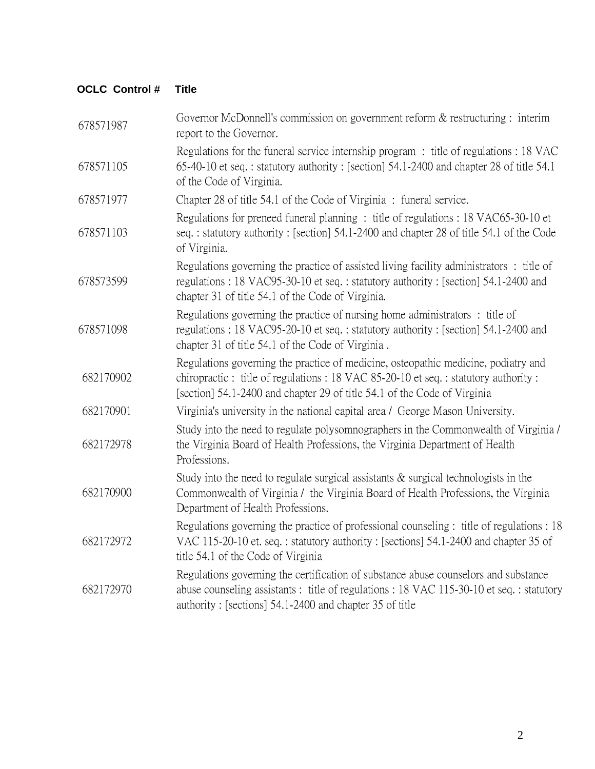## **OCLC Control # Title**

| 678571987 | Governor McDonnell's commission on government reform $&$ restructuring : interim<br>report to the Governor.                                                                                                                                         |
|-----------|-----------------------------------------------------------------------------------------------------------------------------------------------------------------------------------------------------------------------------------------------------|
| 678571105 | Regulations for the funeral service internship program : title of regulations : 18 VAC<br>65-40-10 et seq.: statutory authority: [section] 54.1-2400 and chapter 28 of title 54.1<br>of the Code of Virginia.                                       |
| 678571977 | Chapter 28 of title 54.1 of the Code of Virginia: funeral service.                                                                                                                                                                                  |
| 678571103 | Regulations for preneed funeral planning: title of regulations: 18 VAC65-30-10 et<br>seq.: statutory authority: [section] 54.1-2400 and chapter 28 of title 54.1 of the Code<br>of Virginia.                                                        |
| 678573599 | Regulations governing the practice of assisted living facility administrators: title of<br>regulations: 18 VAC95-30-10 et seq.: statutory authority: [section] 54.1-2400 and<br>chapter 31 of title 54.1 of the Code of Virginia.                   |
| 678571098 | Regulations governing the practice of nursing home administrators : title of<br>regulations: 18 VAC95-20-10 et seq.: statutory authority: [section] 54.1-2400 and<br>chapter 31 of title 54.1 of the Code of Virginia.                              |
| 682170902 | Regulations governing the practice of medicine, osteopathic medicine, podiatry and<br>chiropractic: title of regulations: 18 VAC 85-20-10 et seq.: statutory authority:<br>[section] 54.1-2400 and chapter 29 of title 54.1 of the Code of Virginia |
| 682170901 | Virginia's university in the national capital area / George Mason University.                                                                                                                                                                       |
| 682172978 | Study into the need to regulate polysomnographers in the Commonwealth of Virginia /<br>the Virginia Board of Health Professions, the Virginia Department of Health<br>Professions.                                                                  |
| 682170900 | Study into the need to regulate surgical assistants $\&$ surgical technologists in the<br>Commonwealth of Virginia / the Virginia Board of Health Professions, the Virginia<br>Department of Health Professions.                                    |
| 682172972 | Regulations governing the practice of professional counseling : title of regulations : 18<br>VAC 115-20-10 et. seq.: statutory authority: [sections] 54.1-2400 and chapter 35 of<br>title 54.1 of the Code of Virginia                              |
| 682172970 | Regulations governing the certification of substance abuse counselors and substance<br>abuse counseling assistants : title of regulations : 18 VAC 115-30-10 et seq. : statutory<br>authority: [sections] 54.1-2400 and chapter 35 of title         |